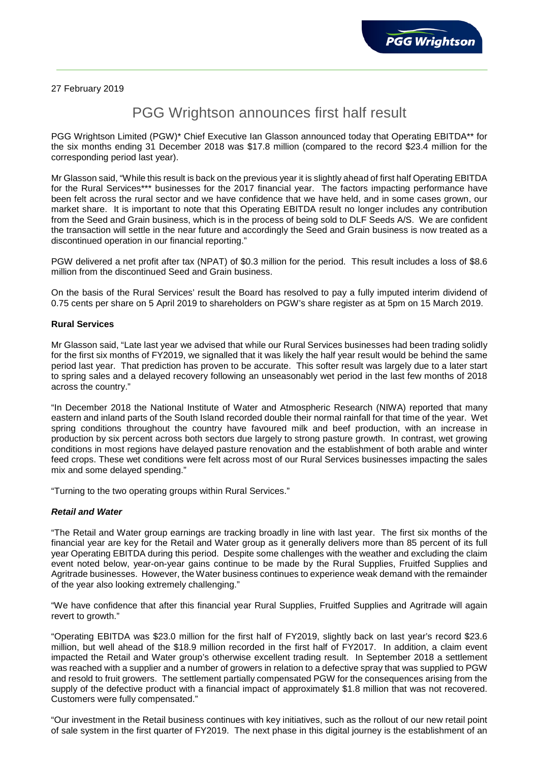27 February 2019

# PGG Wrightson announces first half result

PGG Wrightson Limited (PGW)\* Chief Executive Ian Glasson announced today that Operating EBITDA\*\* for the six months ending 31 December 2018 was \$17.8 million (compared to the record \$23.4 million for the corresponding period last year).

Mr Glasson said, "While this result is back on the previous year it is slightly ahead of first half Operating EBITDA for the Rural Services\*\*\* businesses for the 2017 financial year. The factors impacting performance have been felt across the rural sector and we have confidence that we have held, and in some cases grown, our market share. It is important to note that this Operating EBITDA result no longer includes any contribution from the Seed and Grain business, which is in the process of being sold to DLF Seeds A/S. We are confident the transaction will settle in the near future and accordingly the Seed and Grain business is now treated as a discontinued operation in our financial reporting."

PGW delivered a net profit after tax (NPAT) of \$0.3 million for the period. This result includes a loss of \$8.6 million from the discontinued Seed and Grain business.

On the basis of the Rural Services' result the Board has resolved to pay a fully imputed interim dividend of 0.75 cents per share on 5 April 2019 to shareholders on PGW's share register as at 5pm on 15 March 2019.

## **Rural Services**

Mr Glasson said, "Late last year we advised that while our Rural Services businesses had been trading solidly for the first six months of FY2019, we signalled that it was likely the half year result would be behind the same period last year. That prediction has proven to be accurate. This softer result was largely due to a later start to spring sales and a delayed recovery following an unseasonably wet period in the last few months of 2018 across the country."

"In December 2018 the National Institute of Water and Atmospheric Research (NIWA) reported that many eastern and inland parts of the South Island recorded double their normal rainfall for that time of the year. Wet spring conditions throughout the country have favoured milk and beef production, with an increase in production by six percent across both sectors due largely to strong pasture growth. In contrast, wet growing conditions in most regions have delayed pasture renovation and the establishment of both arable and winter feed crops. These wet conditions were felt across most of our Rural Services businesses impacting the sales mix and some delayed spending."

"Turning to the two operating groups within Rural Services."

## *Retail and Water*

"The Retail and Water group earnings are tracking broadly in line with last year. The first six months of the financial year are key for the Retail and Water group as it generally delivers more than 85 percent of its full year Operating EBITDA during this period. Despite some challenges with the weather and excluding the claim event noted below, year-on-year gains continue to be made by the Rural Supplies, Fruitfed Supplies and Agritrade businesses. However, the Water business continues to experience weak demand with the remainder of the year also looking extremely challenging."

"We have confidence that after this financial year Rural Supplies, Fruitfed Supplies and Agritrade will again revert to growth."

"Operating EBITDA was \$23.0 million for the first half of FY2019, slightly back on last year's record \$23.6 million, but well ahead of the \$18.9 million recorded in the first half of FY2017. In addition, a claim event impacted the Retail and Water group's otherwise excellent trading result. In September 2018 a settlement was reached with a supplier and a number of growers in relation to a defective spray that was supplied to PGW and resold to fruit growers. The settlement partially compensated PGW for the consequences arising from the supply of the defective product with a financial impact of approximately \$1.8 million that was not recovered. Customers were fully compensated."

"Our investment in the Retail business continues with key initiatives, such as the rollout of our new retail point of sale system in the first quarter of FY2019. The next phase in this digital journey is the establishment of an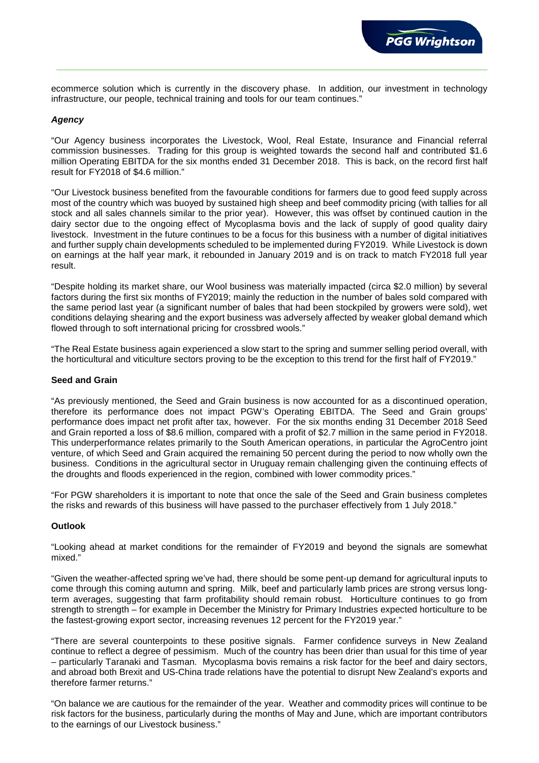ecommerce solution which is currently in the discovery phase. In addition, our investment in technology infrastructure, our people, technical training and tools for our team continues."

## *Agency*

"Our Agency business incorporates the Livestock, Wool, Real Estate, Insurance and Financial referral commission businesses. Trading for this group is weighted towards the second half and contributed \$1.6 million Operating EBITDA for the six months ended 31 December 2018. This is back, on the record first half result for FY2018 of \$4.6 million."

"Our Livestock business benefited from the favourable conditions for farmers due to good feed supply across most of the country which was buoyed by sustained high sheep and beef commodity pricing (with tallies for all stock and all sales channels similar to the prior year). However, this was offset by continued caution in the dairy sector due to the ongoing effect of Mycoplasma bovis and the lack of supply of good quality dairy livestock. Investment in the future continues to be a focus for this business with a number of digital initiatives and further supply chain developments scheduled to be implemented during FY2019. While Livestock is down on earnings at the half year mark, it rebounded in January 2019 and is on track to match FY2018 full year result.

"Despite holding its market share, our Wool business was materially impacted (circa \$2.0 million) by several factors during the first six months of FY2019; mainly the reduction in the number of bales sold compared with the same period last year (a significant number of bales that had been stockpiled by growers were sold), wet conditions delaying shearing and the export business was adversely affected by weaker global demand which flowed through to soft international pricing for crossbred wools."

"The Real Estate business again experienced a slow start to the spring and summer selling period overall, with the horticultural and viticulture sectors proving to be the exception to this trend for the first half of FY2019."

### **Seed and Grain**

"As previously mentioned, the Seed and Grain business is now accounted for as a discontinued operation, therefore its performance does not impact PGW's Operating EBITDA. The Seed and Grain groups' performance does impact net profit after tax, however. For the six months ending 31 December 2018 Seed and Grain reported a loss of \$8.6 million, compared with a profit of \$2.7 million in the same period in FY2018. This underperformance relates primarily to the South American operations, in particular the AgroCentro joint venture, of which Seed and Grain acquired the remaining 50 percent during the period to now wholly own the business. Conditions in the agricultural sector in Uruguay remain challenging given the continuing effects of the droughts and floods experienced in the region, combined with lower commodity prices."

"For PGW shareholders it is important to note that once the sale of the Seed and Grain business completes the risks and rewards of this business will have passed to the purchaser effectively from 1 July 2018."

#### **Outlook**

"Looking ahead at market conditions for the remainder of FY2019 and beyond the signals are somewhat mixed."

"Given the weather-affected spring we've had, there should be some pent-up demand for agricultural inputs to come through this coming autumn and spring. Milk, beef and particularly lamb prices are strong versus longterm averages, suggesting that farm profitability should remain robust. Horticulture continues to go from strength to strength – for example in December the Ministry for Primary Industries expected horticulture to be the fastest-growing export sector, increasing revenues 12 percent for the FY2019 year."

"There are several counterpoints to these positive signals. Farmer confidence surveys in New Zealand continue to reflect a degree of pessimism. Much of the country has been drier than usual for this time of year – particularly Taranaki and Tasman. Mycoplasma bovis remains a risk factor for the beef and dairy sectors, and abroad both Brexit and US-China trade relations have the potential to disrupt New Zealand's exports and therefore farmer returns."

"On balance we are cautious for the remainder of the year. Weather and commodity prices will continue to be risk factors for the business, particularly during the months of May and June, which are important contributors to the earnings of our Livestock business."